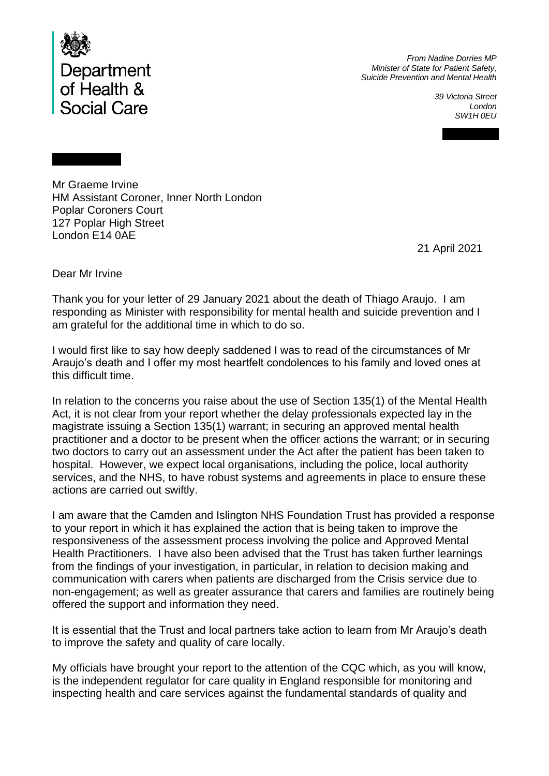

*From Nadine Dorries MP Minister of State for Patient Safety, Suicide Prevention and Mental Health*

> *39 Victoria Street London SW1H 0EU*

Mr Graeme Irvine HM Assistant Coroner, Inner North London Poplar Coroners Court 127 Poplar High Street London E14 0AE

21 April 2021

Dear Mr Irvine

Thank you for your letter of 29 January 2021 about the death of Thiago Araujo. I am responding as Minister with responsibility for mental health and suicide prevention and I am grateful for the additional time in which to do so.

I would first like to say how deeply saddened I was to read of the circumstances of Mr Araujo's death and I offer my most heartfelt condolences to his family and loved ones at this difficult time.

In relation to the concerns you raise about the use of Section 135(1) of the Mental Health Act, it is not clear from your report whether the delay professionals expected lay in the magistrate issuing a Section 135(1) warrant; in securing an approved mental health practitioner and a doctor to be present when the officer actions the warrant; or in securing two doctors to carry out an assessment under the Act after the patient has been taken to hospital. However, we expect local organisations, including the police, local authority services, and the NHS, to have robust systems and agreements in place to ensure these actions are carried out swiftly.

I am aware that the Camden and Islington NHS Foundation Trust has provided a response to your report in which it has explained the action that is being taken to improve the responsiveness of the assessment process involving the police and Approved Mental Health Practitioners. I have also been advised that the Trust has taken further learnings from the findings of your investigation, in particular, in relation to decision making and communication with carers when patients are discharged from the Crisis service due to non-engagement; as well as greater assurance that carers and families are routinely being offered the support and information they need.

It is essential that the Trust and local partners take action to learn from Mr Araujo's death to improve the safety and quality of care locally.

My officials have brought your report to the attention of the CQC which, as you will know, is the independent regulator for care quality in England responsible for monitoring and inspecting health and care services against the fundamental standards of quality and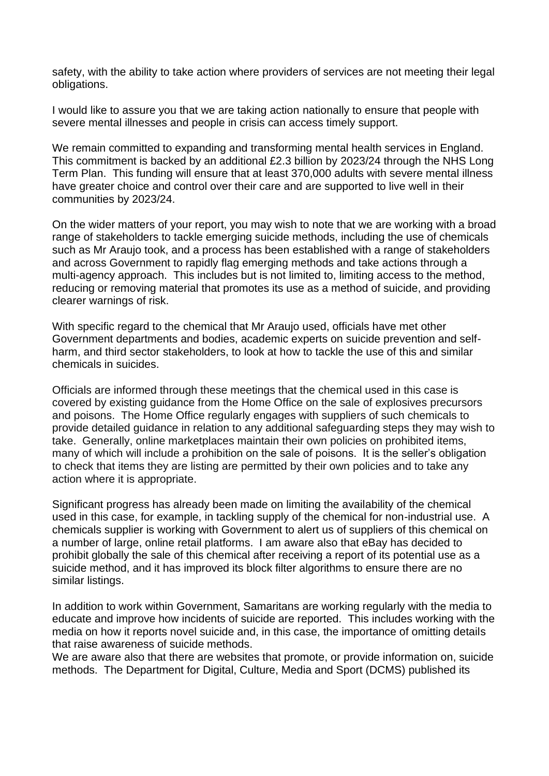safety, with the ability to take action where providers of services are not meeting their legal obligations.

I would like to assure you that we are taking action nationally to ensure that people with severe mental illnesses and people in crisis can access timely support.

We remain committed to expanding and transforming mental health services in England. This commitment is backed by an additional £2.3 billion by 2023/24 through the NHS Long Term Plan. This funding will ensure that at least 370,000 adults with severe mental illness have greater choice and control over their care and are supported to live well in their communities by 2023/24.

On the wider matters of your report, you may wish to note that we are working with a broad range of stakeholders to tackle emerging suicide methods, including the use of chemicals such as Mr Araujo took, and a process has been established with a range of stakeholders and across Government to rapidly flag emerging methods and take actions through a multi-agency approach. This includes but is not limited to, limiting access to the method, reducing or removing material that promotes its use as a method of suicide, and providing clearer warnings of risk.

With specific regard to the chemical that Mr Araujo used, officials have met other Government departments and bodies, academic experts on suicide prevention and selfharm, and third sector stakeholders, to look at how to tackle the use of this and similar chemicals in suicides.

Officials are informed through these meetings that the chemical used in this case is covered by existing guidance from the Home Office on the sale of explosives precursors and poisons. The Home Office regularly engages with suppliers of such chemicals to provide detailed guidance in relation to any additional safeguarding steps they may wish to take. Generally, online marketplaces maintain their own policies on prohibited items, many of which will include a prohibition on the sale of poisons. It is the seller's obligation to check that items they are listing are permitted by their own policies and to take any action where it is appropriate.

Significant progress has already been made on limiting the availability of the chemical used in this case, for example, in tackling supply of the chemical for non-industrial use. A chemicals supplier is working with Government to alert us of suppliers of this chemical on a number of large, online retail platforms. I am aware also that eBay has decided to prohibit globally the sale of this chemical after receiving a report of its potential use as a suicide method, and it has improved its block filter algorithms to ensure there are no similar listings.

In addition to work within Government, Samaritans are working regularly with the media to educate and improve how incidents of suicide are reported. This includes working with the media on how it reports novel suicide and, in this case, the importance of omitting details that raise awareness of suicide methods.

We are aware also that there are websites that promote, or provide information on, suicide methods. The Department for Digital, Culture, Media and Sport (DCMS) published its